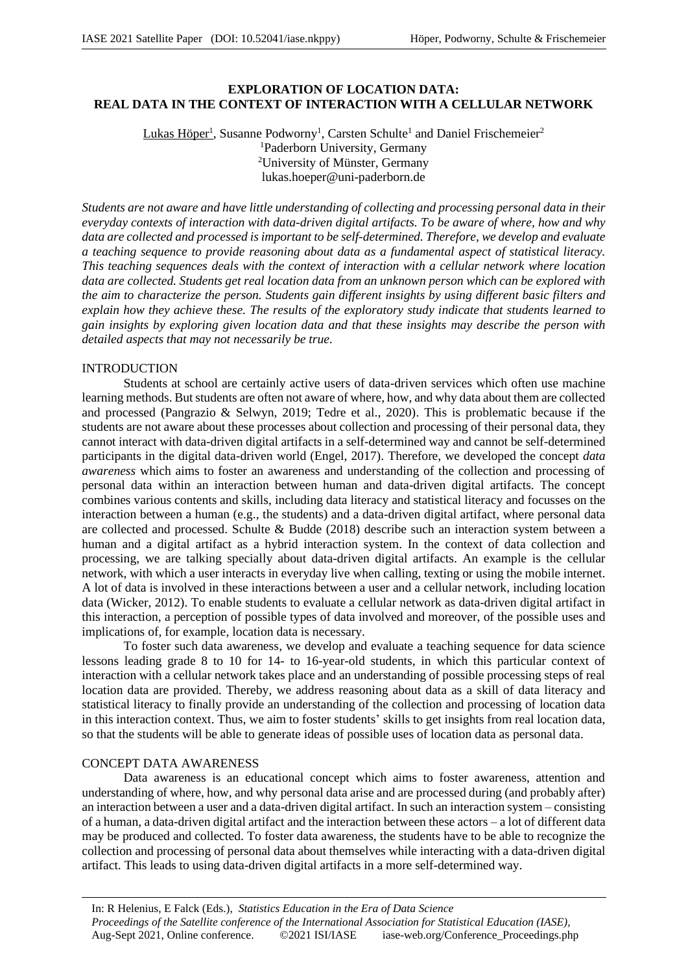# **EXPLORATION OF LOCATION DATA: REAL DATA IN THE CONTEXT OF INTERACTION WITH A CELLULAR NETWORK**

## Lukas Höper<sup>1</sup>, Susanne Podworny<sup>1</sup>, Carsten Schulte<sup>1</sup> and Daniel Frischemeier<sup>2</sup> <sup>1</sup>Paderborn University, Germany <sup>2</sup>University of Münster, Germany lukas.hoeper@uni-paderborn.de

*Students are not aware and have little understanding of collecting and processing personal data in their everyday contexts of interaction with data-driven digital artifacts. To be aware of where, how and why data are collected and processed is important to be self-determined. Therefore, we develop and evaluate a teaching sequence to provide reasoning about data as a fundamental aspect of statistical literacy. This teaching sequences deals with the context of interaction with a cellular network where location data are collected. Students get real location data from an unknown person which can be explored with the aim to characterize the person. Students gain different insights by using different basic filters and explain how they achieve these. The results of the exploratory study indicate that students learned to gain insights by exploring given location data and that these insights may describe the person with detailed aspects that may not necessarily be true.*

## INTRODUCTION

Students at school are certainly active users of data-driven services which often use machine learning methods. But students are often not aware of where, how, and why data about them are collected and processed (Pangrazio & Selwyn, 2019; Tedre et al., 2020). This is problematic because if the students are not aware about these processes about collection and processing of their personal data, they cannot interact with data-driven digital artifacts in a self-determined way and cannot be self-determined participants in the digital data-driven world (Engel, 2017). Therefore, we developed the concept *data awareness* which aims to foster an awareness and understanding of the collection and processing of personal data within an interaction between human and data-driven digital artifacts. The concept combines various contents and skills, including data literacy and statistical literacy and focusses on the interaction between a human (e.g., the students) and a data-driven digital artifact, where personal data are collected and processed. Schulte & Budde (2018) describe such an interaction system between a human and a digital artifact as a hybrid interaction system. In the context of data collection and processing, we are talking specially about data-driven digital artifacts. An example is the cellular network, with which a user interacts in everyday live when calling, texting or using the mobile internet. A lot of data is involved in these interactions between a user and a cellular network, including location data (Wicker, 2012). To enable students to evaluate a cellular network as data-driven digital artifact in this interaction, a perception of possible types of data involved and moreover, of the possible uses and implications of, for example, location data is necessary.

To foster such data awareness, we develop and evaluate a teaching sequence for data science lessons leading grade 8 to 10 for 14- to 16-year-old students, in which this particular context of interaction with a cellular network takes place and an understanding of possible processing steps of real location data are provided. Thereby, we address reasoning about data as a skill of data literacy and statistical literacy to finally provide an understanding of the collection and processing of location data in this interaction context. Thus, we aim to foster students' skills to get insights from real location data, so that the students will be able to generate ideas of possible uses of location data as personal data.

## CONCEPT DATA AWARENESS

Data awareness is an educational concept which aims to foster awareness, attention and understanding of where, how, and why personal data arise and are processed during (and probably after) an interaction between a user and a data-driven digital artifact. In such an interaction system – consisting of a human, a data-driven digital artifact and the interaction between these actors – a lot of different data may be produced and collected. To foster data awareness, the students have to be able to recognize the collection and processing of personal data about themselves while interacting with a data-driven digital artifact. This leads to using data-driven digital artifacts in a more self-determined way.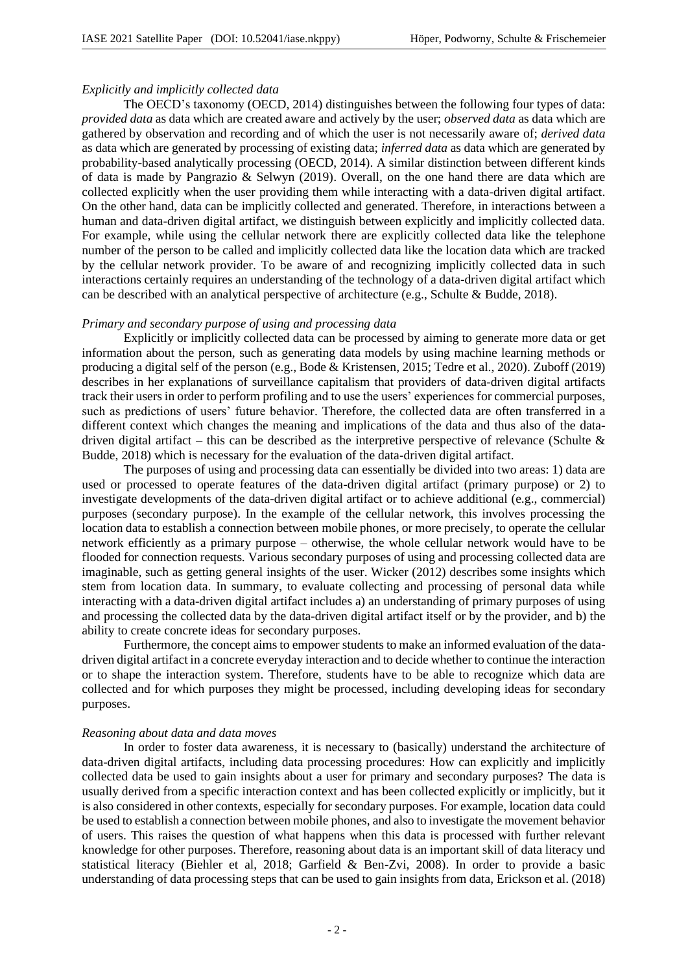# *Explicitly and implicitly collected data*

The OECD's taxonomy (OECD, 2014) distinguishes between the following four types of data: *provided data* as data which are created aware and actively by the user; *observed data* as data which are gathered by observation and recording and of which the user is not necessarily aware of; *derived data* as data which are generated by processing of existing data; *inferred data* as data which are generated by probability-based analytically processing (OECD, 2014). A similar distinction between different kinds of data is made by Pangrazio & Selwyn (2019). Overall, on the one hand there are data which are collected explicitly when the user providing them while interacting with a data-driven digital artifact. On the other hand, data can be implicitly collected and generated. Therefore, in interactions between a human and data-driven digital artifact, we distinguish between explicitly and implicitly collected data. For example, while using the cellular network there are explicitly collected data like the telephone number of the person to be called and implicitly collected data like the location data which are tracked by the cellular network provider. To be aware of and recognizing implicitly collected data in such interactions certainly requires an understanding of the technology of a data-driven digital artifact which can be described with an analytical perspective of architecture (e.g., Schulte & Budde, 2018).

### *Primary and secondary purpose of using and processing data*

Explicitly or implicitly collected data can be processed by aiming to generate more data or get information about the person, such as generating data models by using machine learning methods or producing a digital self of the person (e.g., Bode & Kristensen, 2015; Tedre et al., 2020). Zuboff (2019) describes in her explanations of surveillance capitalism that providers of data-driven digital artifacts track their users in order to perform profiling and to use the users' experiences for commercial purposes, such as predictions of users' future behavior. Therefore, the collected data are often transferred in a different context which changes the meaning and implications of the data and thus also of the datadriven digital artifact – this can be described as the interpretive perspective of relevance (Schulte  $\&$ Budde, 2018) which is necessary for the evaluation of the data-driven digital artifact.

The purposes of using and processing data can essentially be divided into two areas: 1) data are used or processed to operate features of the data-driven digital artifact (primary purpose) or 2) to investigate developments of the data-driven digital artifact or to achieve additional (e.g., commercial) purposes (secondary purpose). In the example of the cellular network, this involves processing the location data to establish a connection between mobile phones, or more precisely, to operate the cellular network efficiently as a primary purpose – otherwise, the whole cellular network would have to be flooded for connection requests. Various secondary purposes of using and processing collected data are imaginable, such as getting general insights of the user. Wicker (2012) describes some insights which stem from location data. In summary, to evaluate collecting and processing of personal data while interacting with a data-driven digital artifact includes a) an understanding of primary purposes of using and processing the collected data by the data-driven digital artifact itself or by the provider, and b) the ability to create concrete ideas for secondary purposes.

Furthermore, the concept aims to empower students to make an informed evaluation of the datadriven digital artifact in a concrete everyday interaction and to decide whether to continue the interaction or to shape the interaction system. Therefore, students have to be able to recognize which data are collected and for which purposes they might be processed, including developing ideas for secondary purposes.

### *Reasoning about data and data moves*

In order to foster data awareness, it is necessary to (basically) understand the architecture of data-driven digital artifacts, including data processing procedures: How can explicitly and implicitly collected data be used to gain insights about a user for primary and secondary purposes? The data is usually derived from a specific interaction context and has been collected explicitly or implicitly, but it is also considered in other contexts, especially for secondary purposes. For example, location data could be used to establish a connection between mobile phones, and also to investigate the movement behavior of users. This raises the question of what happens when this data is processed with further relevant knowledge for other purposes. Therefore, reasoning about data is an important skill of data literacy und statistical literacy (Biehler et al, 2018; Garfield & Ben-Zvi, 2008). In order to provide a basic understanding of data processing steps that can be used to gain insights from data, Erickson et al. (2018)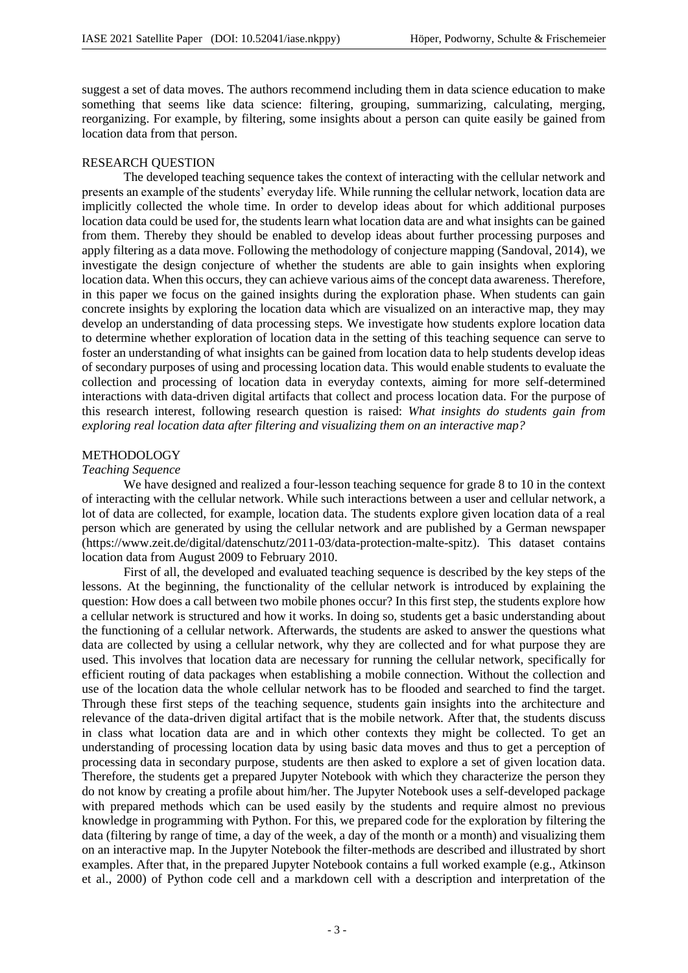suggest a set of data moves. The authors recommend including them in data science education to make something that seems like data science: filtering, grouping, summarizing, calculating, merging, reorganizing. For example, by filtering, some insights about a person can quite easily be gained from location data from that person.

### RESEARCH QUESTION

The developed teaching sequence takes the context of interacting with the cellular network and presents an example of the students' everyday life. While running the cellular network, location data are implicitly collected the whole time. In order to develop ideas about for which additional purposes location data could be used for, the students learn what location data are and what insights can be gained from them. Thereby they should be enabled to develop ideas about further processing purposes and apply filtering as a data move. Following the methodology of conjecture mapping (Sandoval, 2014), we investigate the design conjecture of whether the students are able to gain insights when exploring location data. When this occurs, they can achieve various aims of the concept data awareness. Therefore, in this paper we focus on the gained insights during the exploration phase. When students can gain concrete insights by exploring the location data which are visualized on an interactive map, they may develop an understanding of data processing steps. We investigate how students explore location data to determine whether exploration of location data in the setting of this teaching sequence can serve to foster an understanding of what insights can be gained from location data to help students develop ideas of secondary purposes of using and processing location data. This would enable students to evaluate the collection and processing of location data in everyday contexts, aiming for more self-determined interactions with data-driven digital artifacts that collect and process location data. For the purpose of this research interest, following research question is raised: *What insights do students gain from exploring real location data after filtering and visualizing them on an interactive map?*

## METHODOLOGY

#### *Teaching Sequence*

We have designed and realized a four-lesson teaching sequence for grade 8 to 10 in the context of interacting with the cellular network. While such interactions between a user and cellular network, a lot of data are collected, for example, location data. The students explore given location data of a real person which are generated by using the cellular network and are published by a German newspaper (https://www.zeit.de/digital/datenschutz/2011-03/data-protection-malte-spitz). This dataset contains location data from August 2009 to February 2010.

First of all, the developed and evaluated teaching sequence is described by the key steps of the lessons. At the beginning, the functionality of the cellular network is introduced by explaining the question: How does a call between two mobile phones occur? In this first step, the students explore how a cellular network is structured and how it works. In doing so, students get a basic understanding about the functioning of a cellular network. Afterwards, the students are asked to answer the questions what data are collected by using a cellular network, why they are collected and for what purpose they are used. This involves that location data are necessary for running the cellular network, specifically for efficient routing of data packages when establishing a mobile connection. Without the collection and use of the location data the whole cellular network has to be flooded and searched to find the target. Through these first steps of the teaching sequence, students gain insights into the architecture and relevance of the data-driven digital artifact that is the mobile network. After that, the students discuss in class what location data are and in which other contexts they might be collected. To get an understanding of processing location data by using basic data moves and thus to get a perception of processing data in secondary purpose, students are then asked to explore a set of given location data. Therefore, the students get a prepared Jupyter Notebook with which they characterize the person they do not know by creating a profile about him/her. The Jupyter Notebook uses a self-developed package with prepared methods which can be used easily by the students and require almost no previous knowledge in programming with Python. For this, we prepared code for the exploration by filtering the data (filtering by range of time, a day of the week, a day of the month or a month) and visualizing them on an interactive map. In the Jupyter Notebook the filter-methods are described and illustrated by short examples. After that, in the prepared Jupyter Notebook contains a full worked example (e.g., Atkinson et al., 2000) of Python code cell and a markdown cell with a description and interpretation of the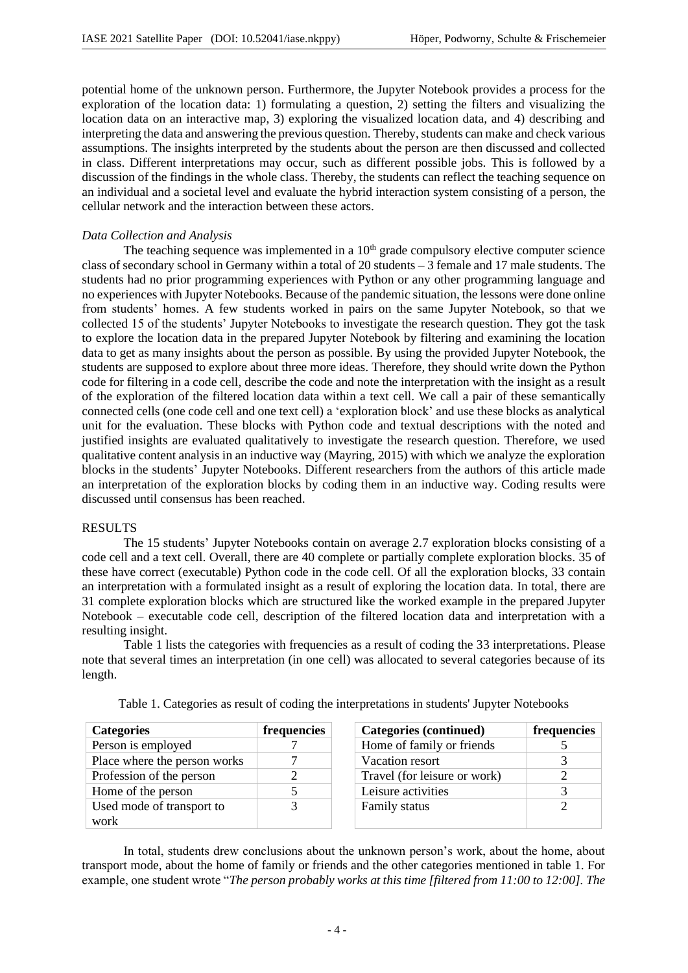potential home of the unknown person. Furthermore, the Jupyter Notebook provides a process for the exploration of the location data: 1) formulating a question, 2) setting the filters and visualizing the location data on an interactive map, 3) exploring the visualized location data, and 4) describing and interpreting the data and answering the previous question. Thereby, students can make and check various assumptions. The insights interpreted by the students about the person are then discussed and collected in class. Different interpretations may occur, such as different possible jobs. This is followed by a discussion of the findings in the whole class. Thereby, the students can reflect the teaching sequence on an individual and a societal level and evaluate the hybrid interaction system consisting of a person, the cellular network and the interaction between these actors.

## *Data Collection and Analysis*

The teaching sequence was implemented in a  $10<sup>th</sup>$  grade compulsory elective computer science class of secondary school in Germany within a total of 20 students  $-3$  female and 17 male students. The students had no prior programming experiences with Python or any other programming language and no experiences with Jupyter Notebooks. Because of the pandemic situation, the lessons were done online from students' homes. A few students worked in pairs on the same Jupyter Notebook, so that we collected 15 of the students' Jupyter Notebooks to investigate the research question. They got the task to explore the location data in the prepared Jupyter Notebook by filtering and examining the location data to get as many insights about the person as possible. By using the provided Jupyter Notebook, the students are supposed to explore about three more ideas. Therefore, they should write down the Python code for filtering in a code cell, describe the code and note the interpretation with the insight as a result of the exploration of the filtered location data within a text cell. We call a pair of these semantically connected cells (one code cell and one text cell) a 'exploration block' and use these blocks as analytical unit for the evaluation. These blocks with Python code and textual descriptions with the noted and justified insights are evaluated qualitatively to investigate the research question. Therefore, we used qualitative content analysis in an inductive way (Mayring, 2015) with which we analyze the exploration blocks in the students' Jupyter Notebooks. Different researchers from the authors of this article made an interpretation of the exploration blocks by coding them in an inductive way. Coding results were discussed until consensus has been reached.

### RESULTS

The 15 students' Jupyter Notebooks contain on average 2.7 exploration blocks consisting of a code cell and a text cell. Overall, there are 40 complete or partially complete exploration blocks. 35 of these have correct (executable) Python code in the code cell. Of all the exploration blocks, 33 contain an interpretation with a formulated insight as a result of exploring the location data. In total, there are 31 complete exploration blocks which are structured like the worked example in the prepared Jupyter Notebook – executable code cell, description of the filtered location data and interpretation with a resulting insight.

Table 1 lists the categories with frequencies as a result of coding the 33 interpretations. Please note that several times an interpretation (in one cell) was allocated to several categories because of its length.

| <b>Categories</b>            | frequencies | Categories (continued)       | frequencies |
|------------------------------|-------------|------------------------------|-------------|
| Person is employed           |             | Home of family or friends    |             |
| Place where the person works |             | Vacation resort              |             |
| Profession of the person     |             | Travel (for leisure or work) |             |
| Home of the person           |             | Leisure activities           |             |
| Used mode of transport to    |             | Family status                |             |
| work                         |             |                              |             |

Table 1. Categories as result of coding the interpretations in students' Jupyter Notebooks

In total, students drew conclusions about the unknown person's work, about the home, about transport mode, about the home of family or friends and the other categories mentioned in table 1. For example, one student wrote "*The person probably works at this time [filtered from 11:00 to 12:00]. The*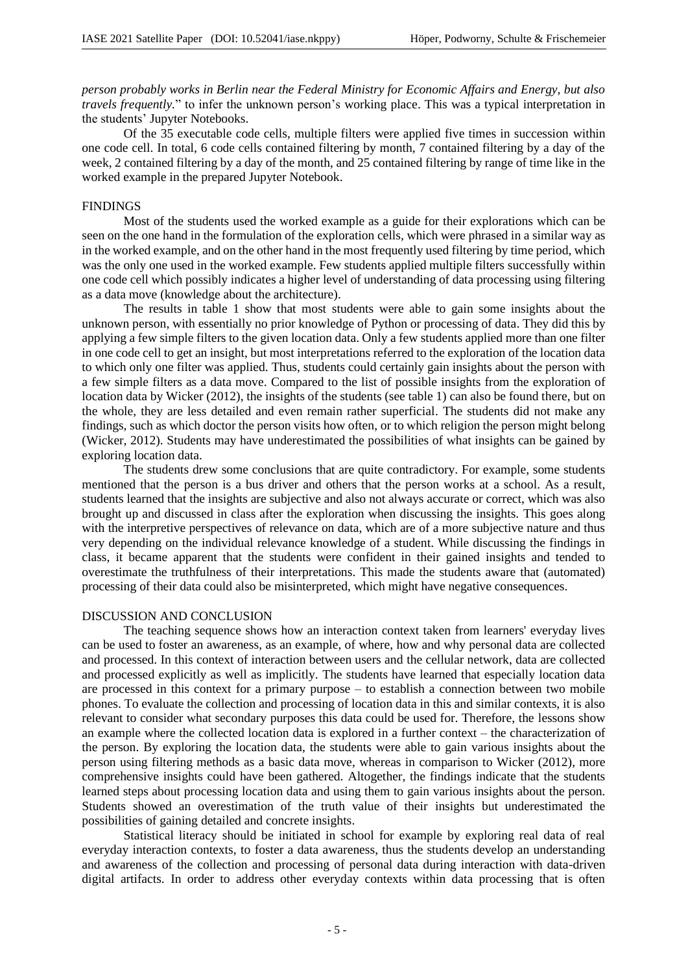*person probably works in Berlin near the Federal Ministry for Economic Affairs and Energy, but also travels frequently.*" to infer the unknown person's working place. This was a typical interpretation in the students' Jupyter Notebooks.

Of the 35 executable code cells, multiple filters were applied five times in succession within one code cell. In total, 6 code cells contained filtering by month, 7 contained filtering by a day of the week, 2 contained filtering by a day of the month, and 25 contained filtering by range of time like in the worked example in the prepared Jupyter Notebook.

#### FINDINGS

Most of the students used the worked example as a guide for their explorations which can be seen on the one hand in the formulation of the exploration cells, which were phrased in a similar way as in the worked example, and on the other hand in the most frequently used filtering by time period, which was the only one used in the worked example. Few students applied multiple filters successfully within one code cell which possibly indicates a higher level of understanding of data processing using filtering as a data move (knowledge about the architecture).

The results in table 1 show that most students were able to gain some insights about the unknown person, with essentially no prior knowledge of Python or processing of data. They did this by applying a few simple filters to the given location data. Only a few students applied more than one filter in one code cell to get an insight, but most interpretations referred to the exploration of the location data to which only one filter was applied. Thus, students could certainly gain insights about the person with a few simple filters as a data move. Compared to the list of possible insights from the exploration of location data by Wicker (2012), the insights of the students (see table 1) can also be found there, but on the whole, they are less detailed and even remain rather superficial. The students did not make any findings, such as which doctor the person visits how often, or to which religion the person might belong (Wicker, 2012). Students may have underestimated the possibilities of what insights can be gained by exploring location data.

The students drew some conclusions that are quite contradictory. For example, some students mentioned that the person is a bus driver and others that the person works at a school. As a result, students learned that the insights are subjective and also not always accurate or correct, which was also brought up and discussed in class after the exploration when discussing the insights. This goes along with the interpretive perspectives of relevance on data, which are of a more subjective nature and thus very depending on the individual relevance knowledge of a student. While discussing the findings in class, it became apparent that the students were confident in their gained insights and tended to overestimate the truthfulness of their interpretations. This made the students aware that (automated) processing of their data could also be misinterpreted, which might have negative consequences.

#### DISCUSSION AND CONCLUSION

The teaching sequence shows how an interaction context taken from learners' everyday lives can be used to foster an awareness, as an example, of where, how and why personal data are collected and processed. In this context of interaction between users and the cellular network, data are collected and processed explicitly as well as implicitly. The students have learned that especially location data are processed in this context for a primary purpose – to establish a connection between two mobile phones. To evaluate the collection and processing of location data in this and similar contexts, it is also relevant to consider what secondary purposes this data could be used for. Therefore, the lessons show an example where the collected location data is explored in a further context – the characterization of the person. By exploring the location data, the students were able to gain various insights about the person using filtering methods as a basic data move, whereas in comparison to Wicker (2012), more comprehensive insights could have been gathered. Altogether, the findings indicate that the students learned steps about processing location data and using them to gain various insights about the person. Students showed an overestimation of the truth value of their insights but underestimated the possibilities of gaining detailed and concrete insights.

Statistical literacy should be initiated in school for example by exploring real data of real everyday interaction contexts, to foster a data awareness, thus the students develop an understanding and awareness of the collection and processing of personal data during interaction with data-driven digital artifacts. In order to address other everyday contexts within data processing that is often